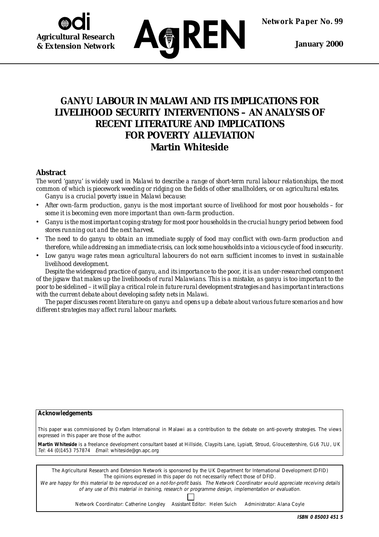*Network Paper No. 99*

 **January 2000**

# **Agricultural Research & Extension Network**



# *GANYU* **LABOUR IN MALAWI AND ITS IMPLICATIONS FOR LIVELIHOOD SECURITY INTERVENTIONS – AN ANALYSIS OF RECENT LITERATURE AND IMPLICATIONS FOR POVERTY ALLEVIATION Martin Whiteside**

## **Abstract**

*The word* 'ganyu' *is widely used in Malawi to describe a range of short-term rural labour relationships, the most common of which is piecework weeding or ridging on the fields of other smallholders, or on agricultural estates.* Ganyu *is a crucial poverty issue in Malawi because:*

- *• After own-farm production,* ganyu *is the most important source of livelihood for most poor households for some it is becoming even more important than own-farm production.*
- *•* Ganyu *is the most important coping strategy for most poor households in the crucial hungry period between food stores running out and the next harvest.*
- *• The need to do* ganyu *to obtain an immediate supply of food may conflict with own-farm production and therefore, while addressing an immediate crisis, can lock some households into a vicious cycle of food insecurity.*
- *• Low* ganyu *wage rates mean agricultural labourers do not earn sufficient incomes to invest in sustainable livelihood development.*

*Despite the widespread practice of* ganyu*, and its importance to the poor, it is an under-researched component of the jigsaw that makes up the livelihoods of rural Malawians. This is a mistake, as* ganyu *is too important to the poor to be sidelined – it will play a critical role in future rural development strategies and has important interactions with the current debate about developing safety nets in Malawi.*

*The paper discusses recent literature on* ganyu *and opens up a debate about various future scenarios and how different strategies may affect rural labour markets.*

#### **Acknowledgements**

This paper was commissioned by Oxfam International in Malawi as a contribution to the debate on anti-poverty strategies. The views expressed in this paper are those of the author.

**Martin Whiteside** is a freelance development consultant based at Hillside, Claypits Lane, Lypiatt, Stroud, Gloucestershire, GL6 7LU, UK Tel: 44 (0)1453 757874 Email: whiteside@gn.apc.org

The Agricultural Research and Extension Network is sponsored by the UK Department for International Development (DFID) The opinions expressed in this paper do not necessarily reflect those of DFID.

We are happy for this material to be reproduced on a not-for-profit basis. The Network Coordinator would appreciate receiving details of any use of this material in training, research or programme design, implementation or evaluation.

Network Coordinator: Catherine Longley Assistant Editor: Helen Suich Administrator: Alana Coyle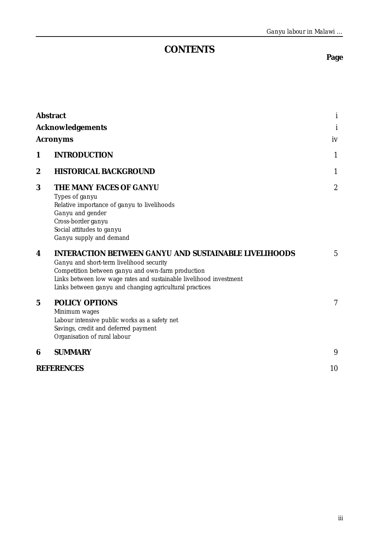# **CONTENTS**

# **Page**

|                         | <b>Abstract</b>                                                                                                                                                                                                                                                                                | i                |
|-------------------------|------------------------------------------------------------------------------------------------------------------------------------------------------------------------------------------------------------------------------------------------------------------------------------------------|------------------|
| <b>Acknowledgements</b> |                                                                                                                                                                                                                                                                                                |                  |
|                         | <b>Acronyms</b>                                                                                                                                                                                                                                                                                | iv               |
| 1                       | <b>INTRODUCTION</b>                                                                                                                                                                                                                                                                            | $\mathbf{1}$     |
| 2                       | <b>HISTORICAL BACKGROUND</b>                                                                                                                                                                                                                                                                   | 1                |
| 3                       | THE MANY FACES OF GANYU<br>Types of ganyu<br>Relative importance of ganyu to livelihoods<br>Ganyu and gender<br>Cross-border ganyu<br>Social attitudes to ganyu<br>Ganyu supply and demand                                                                                                     | $\boldsymbol{2}$ |
| 4                       | <b>INTERACTION BETWEEN GANYU AND SUSTAINABLE LIVELIHOODS</b><br>Ganyu and short-term livelihood security<br>Competition between ganyu and own-farm production<br>Links between low wage rates and sustainable livelihood investment<br>Links between ganyu and changing agricultural practices | 5                |
| $\mathbf 5$             | <b>POLICY OPTIONS</b><br>Minimum wages<br>Labour intensive public works as a safety net<br>Savings, credit and deferred payment<br>Organisation of rural labour                                                                                                                                | 7                |
| 6                       | <b>SUMMARY</b>                                                                                                                                                                                                                                                                                 | 9                |
|                         | <b>REFERENCES</b>                                                                                                                                                                                                                                                                              | 10               |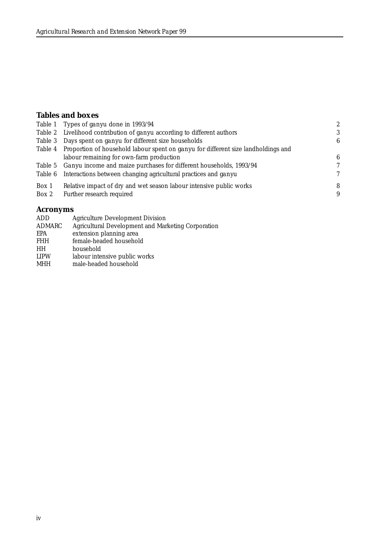#### **Tables and boxes**

|       | Table 1 Types of <i>ganyu</i> done in 1993/94                                             | 2            |
|-------|-------------------------------------------------------------------------------------------|--------------|
|       | Table 2 Livelihood contribution of ganyu according to different authors                   | 3            |
|       | Table 3 Days spent on ganyu for different size households                                 | 6            |
|       | Table 4 Proportion of household labour spent on ganyu for different size landholdings and |              |
|       | labour remaining for own-farm production                                                  | 6            |
|       | Table 5 <i>Ganyu</i> income and maize purchases for different households, 1993/94         | 7            |
|       | Table 6 Interactions between changing agricultural practices and ganyu                    | $\mathcal I$ |
| Box 1 | Relative impact of dry and wet season labour intensive public works                       | 8            |
| Box 2 | Further research required                                                                 | 9            |
|       |                                                                                           |              |

## **Acronyms**

| <b>Agriculture Development Division</b>            |
|----------------------------------------------------|
| Agricultural Development and Marketing Corporation |
| extension planning area                            |
| female-headed household                            |
| household                                          |
| labour intensive public works                      |
| male-headed household                              |
|                                                    |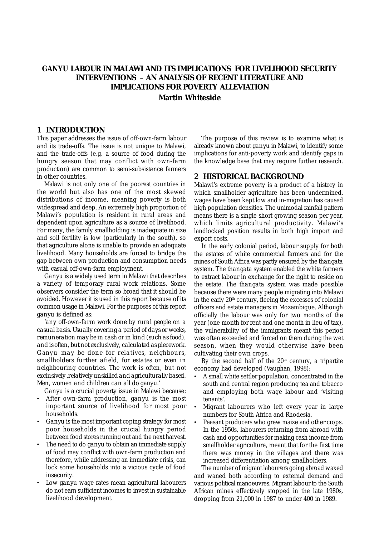## *GANYU* **LABOUR IN MALAWI AND ITS IMPLICATIONS FOR LIVELIHOOD SECURITY INTERVENTIONS – AN ANALYSIS OF RECENT LITERATURE AND IMPLICATIONS FOR POVERTY ALLEVIATION Martin Whiteside**

#### **1 INTRODUCTION**

This paper addresses the issue of off-own-farm labour and its trade-offs. The issue is not unique to Malawi, and the trade-offs (e.g. a source of food during the hungry season that may conflict with own-farm production) are common to semi-subsistence farmers in other countries.

Malawi is not only one of the poorest countries in the world but also has one of the most skewed distributions of income, meaning poverty is both widespread and deep. An extremely high proportion of Malawi's population is resident in rural areas and dependent upon agriculture as a source of livelihood. For many, the family smallholding is inadequate in size and soil fertility is low (particularly in the south), so that agriculture alone is unable to provide an adequate livelihood. Many households are forced to bridge the gap between own production and consumption needs with casual off-own-farm employment.

*Ganyu* is a widely used term in Malawi that describes a variety of temporary rural work relations. Some observers consider the term so broad that it should be avoided. However it is used in this report because of its common usage in Malawi. For the purposes of this report *ganyu* is defined as:

'*any off-own-farm work done by rural people on a casual basis. Usually covering a period of days or weeks, remuneration may be in cash or in kind (such as food), and is often, but not exclusively, calculated as piecework.* Ganyu *may be done for relatives, neighbours, smallholders further afield, for estates or even in neighbouring countries. The work is often, but not exclusively ,relatively unskilled and agriculturally based. Men, women and children can all do* ganyu.'

*Ganyu* is a crucial poverty issue in Malawi because:

- After own-farm production, *ganyu* is the most important source of livelihood for most poor households.
- *• Ganyu* is the most important coping strategy for most poor households in the crucial hungry period between food stores running out and the next harvest.
- The need to do *ganyu* to obtain an immediate supply of food may conflict with own-farm production and therefore, while addressing an immediate crisis, can lock some households into a vicious cycle of food insecurity.
- Low *ganyu* wage rates mean agricultural labourers do not earn sufficient incomes to invest in sustainable livelihood development.

The purpose of this review is to examine what is already known about *ganyu* in Malawi, to identify some implications for anti-poverty work and identify gaps in the knowledge base that may require further research.

#### **2 HISTORICAL BACKGROUND**

Malawi's extreme poverty is a product of a history in which smallholder agriculture has been undermined, wages have been kept low and in-migration has caused high population densities. The unimodal rainfall pattern means there is a single short growing season per year, which limits agricultural productivity. Malawi's landlocked position results in both high import and export costs.

In the early colonial period, labour supply for both the estates of white commercial farmers and for the mines of South Africa was partly ensured by the *thangata* system. The *thangata* system enabled the white farmers to extract labour in exchange for the right to reside on the estate. The *thangata* system was made possible because there were many people migrating into Malawi in the early  $20<sup>th</sup>$  century, fleeing the excesses of colonial officers and estate managers in Mozambique. Although officially the labour was only for two months of the year (one month for rent and one month in lieu of tax), the vulnerability of the immigrants meant this period was often exceeded and forced on them during the wet season, when they would otherwise have been cultivating their own crops.

By the second half of the  $20<sup>th</sup>$  century, a tripartite economy had developed (Vaughan, 1998):

- A small white settler population, concentrated in the south and central region producing tea and tobacco and employing both wage labour and 'visiting tenants'.
- Migrant labourers who left every year in large numbers for South Africa and Rhodesia.
- Peasant producers who grew maize and other crops. In the 1950s, labourers returning from abroad with cash and opportunities for making cash income from smallholder agriculture, meant that for the first time there was money in the villages and there was increased differentiation among smallholders.

The number of migrant labourers going abroad waxed and waned both according to external demand and various political manoeuvres. Migrant labour to the South African mines effectively stopped in the late 1980s, dropping from 21,000 in 1987 to under 400 in 1989.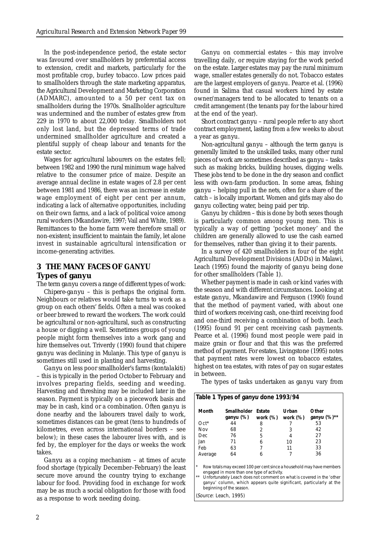In the post-independence period, the estate sector was favoured over smallholders by preferential access to extension, credit and markets, particularly for the most profitable crop, burley tobacco. Low prices paid to smallholders through the state marketing apparatus, the Agricultural Development and Marketing Corporation (ADMARC), amounted to a 50 per cent tax on smallholders during the 1970s. Smallholder agriculture was undermined and the number of estates grew from 229 in 1970 to about 22,000 today. Smallholders not only lost land, but the depressed terms of trade undermined smallholder agriculture and created a plentiful supply of cheap labour and tenants for the estate sector.

Wages for agricultural labourers on the estates fell; between 1982 and 1990 the rural minimum wage halved relative to the consumer price of maize. Despite an average annual decline in estate wages of 2.8 per cent between 1981 and 1986, there was an increase in estate wage employment of eight per cent per annum, indicating a lack of alternative opportunities, including on their own farms, and a lack of political voice among rural workers (Mkandawire, 1997; Vail and White, 1989). Remittances to the home farm were therefore small or non-existent; insufficient to maintain the family, let alone invest in sustainable agricultural intensification or income-generating activities.

## **3 THE MANY FACES OF** *GANYU* **Types of ganyu**

The term *ganyu* covers a range of different types of work: *Chipere-ganyu* – this is perhaps the original form. Neighbours or relatives would take turns to work as a group on each others' fields. Often a meal was cooked or beer brewed to reward the workers. The work could be agricultural or non-agricultural, such as constructing a house or digging a well. Sometimes groups of young people might form themselves into a work gang and hire themselves out. Triverdy (1990) found that *chipere ganyu* was declining in Mulanje. This type of *ganyu* is sometimes still used in planting and harvesting.

*Ganyu* on less poor smallholder's farms (*kontalakiti*) – this is typically in the period October to February and involves preparing fields, seeding and weeding. Harvesting and threshing may be included later in the season. Payment is typically on a piecework basis and may be in cash, kind or a combination. Often *ganyu* is done nearby and the labourers travel daily to work, sometimes distances can be great (tens to hundreds of kilometres, even across international borders – see below); in these cases the labourer lives with, and is fed by, the employer for the days or weeks the work takes.

*Ganyu* as a coping mechanism – at times of acute food shortage (typically December–February) the least secure move around the country trying to exchange labour for food. Providing food in exchange for work may be as much a social obligation for those with food as a response to work needing doing.

*Ganyu* on commercial estates – this may involve travelling daily, or require staying for the work period on the estate. Larger estates may pay the rural minimum wage, smaller estates generally do not. Tobacco estates are the largest employers of *ganyu*. Pearce et al. (1996) found in Salima that casual workers hired by estate owner/managers tend to be allocated to tenants on a credit arrangement (the tenants pay for the labour hired at the end of the year).

Short contract *ganyu* – rural people refer to any short contract employment, lasting from a few weeks to about a year as *ganyu*.

Non-agricultural *ganyu* – although the term *ganyu* is generally limited to the unskilled tasks, many other rural pieces of work are sometimes described as *ganyu* – tasks such as making bricks, building houses, digging wells. These jobs tend to be done in the dry season and conflict less with own-farm production. In some areas, fishing *ganyu* – helping pull in the nets, often for a share of the catch – is locally important. Women and girls may also do *ganyu* collecting water, being paid per trip.

*Ganyu* by children – this is done by both sexes though is particularly common among young men. This is typically a way of getting 'pocket money' and the children are generally allowed to use the cash earned for themselves, rather than giving it to their parents.

In a survey of 420 smallholders in four of the eight Agricultural Development Divisions (ADDs) in Malawi, Leach (1995) found the majority of *ganyu* being done for other smallholders (Table 1).

Whether payment is made in cash or kind varies with the season and with different circumstances. Looking at estate *ganyu,* Mkandawire and Ferguson (1990) found that the method of payment varied, with about one third of workers receiving cash, one-third receiving food and one-third receiving a combination of both. Leach (1995) found 91 per cent receiving cash payments. Pearce et al. (1996) found most people were paid in maize grain or flour and that this was the preferred method of payment. For estates, Livingstone (1995) notes that payment rates were lowest on tobacco estates, highest on tea estates, with rates of pay on sugar estates in between.

The types of tasks undertaken as *ganyu* vary from

| Table 1 Types of ganyu done 1993/94                                                                                                                                                                                                                                                                          |                          |                    |                   |                         |
|--------------------------------------------------------------------------------------------------------------------------------------------------------------------------------------------------------------------------------------------------------------------------------------------------------------|--------------------------|--------------------|-------------------|-------------------------|
| Month                                                                                                                                                                                                                                                                                                        | Smallholder<br>ganyu (%) | Estate<br>work (%) | Urban<br>work (%) | Other<br>ganyu $(%)$ ** |
| $Oct*$                                                                                                                                                                                                                                                                                                       | 44                       | 8                  |                   | 53                      |
| Nov                                                                                                                                                                                                                                                                                                          | 68                       | 2                  | 3                 | 42                      |
| Dec.                                                                                                                                                                                                                                                                                                         | 76                       | 5                  | 4                 | 27                      |
| Jan                                                                                                                                                                                                                                                                                                          | 71                       | 6                  | 10                | 23                      |
| Feb                                                                                                                                                                                                                                                                                                          | 63                       |                    | 11                | 33                      |
| Average                                                                                                                                                                                                                                                                                                      | 64                       | 6                  |                   | 36                      |
| *<br>Row totals may exceed 100 per cent since a household may have members<br>engaged in more than one type of activity.<br>$**$<br>Unfortunately Leach does not comment on what is covered in the 'other<br>ganyu' column, which appears quite significant, particularly at the<br>beginning of the season. |                          |                    |                   |                         |
| (Source: Leach, 1995)                                                                                                                                                                                                                                                                                        |                          |                    |                   |                         |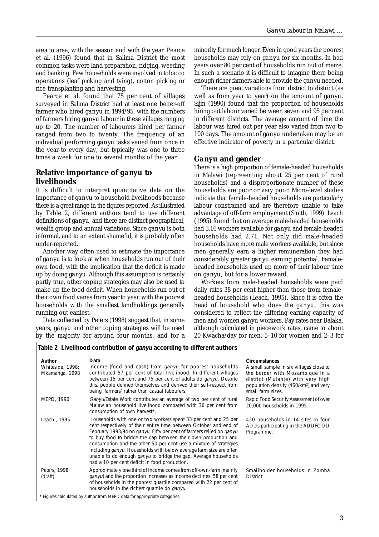area to area, with the season and with the year. Pearce et al. (1996) found that in Salima District the most common tasks were land preparation, ridging, weeding and banking. Few households were involved in tobacco operations (leaf picking and tying), cotton picking or rice transplanting and harvesting.

Pearce et al. found that 75 per cent of villages surveyed in Salima District had at least one better-off farmer who hired *ganyu* in 1994/95, with the numbers of farmers hiring *ganyu* labour in these villages ranging up to 20. The number of labourers hired per farmer ranged from two to twenty. The frequency of an individual performing *ganyu* tasks varied from once in the year to every day, but typically was one to three times a week for one to several months of the year.

#### **Relative importance of** *ganyu* **to livelihoods**

It is difficult to interpret quantitative data on the importance of *ganyu* to household livelihoods because there is a great range in the figures reported. As illustrated by Table 2, different authors tend to use different definitions of *ganyu*, and there are distinct geographical, wealth group and annual variations. Since *ganyu* is both informal, and to an extent shameful, it is probably often under-reported.

Another way often used to estimate the importance of *ganyu* is to look at when households run out of their own food, with the implication that the deficit is made up by doing *ganyu.* Although this assumption is certainly partly true, other coping strategies may also be used to make up the food deficit. When households run out of their own food varies from year to year, with the poorest households with the smallest landholdings generally running out earliest.

Data collected by Peters (1998) suggest that, in some years, *ganyu* and other coping strategies will be used by the majority for around four months, and for a

minority for much longer. Even in good years the poorest households may rely on *ganyu* for six months. In bad years over 80 per cent of households run out of maize. In such a scenario it is difficult to imagine there being enough richer farmers able to provide the *ganyu* needed.

There are great variations from district to district (as well as from year to year) on the amount of *ganyu*. Sijm (1990) found that the proportion of households hiring out labour varied between seven and 95 per cent in different districts. The average amount of time the labour was hired out per year also varied from two to 100 days. The amount of *ganyu* undertaken may be an effective indicator of poverty in a particular district.

#### *Ganyu* **and gender**

There is a high proportion of female-headed households in Malawi (representing about 25 per cent of rural households) and a disproportionate number of these households are poor or very poor. Micro-level studies indicate that female-headed households are particularly labour constrained and are therefore unable to take advantage of off-farm employment (Smith, 1999). Leach (1995) found that on average male-headed households had 3.16 workers available for *ganyu* and female-headed households had 2.71. Not only did male-headed households have more male workers available, but since men generally earn a higher remuneration they had considerably greater *ganyu* earning potential. Femaleheaded households used up more of their labour time on *ganyu,* but for a lower reward.

Workers from male-headed households were paid daily rates 38 per cent higher than those from femaleheaded households (Leach, 1995). Since it is often the head of household who does the *ganyu,* this was considered to reflect the differing earning capacity of men and women *ganyu* workers. Pay rates near Balaka, although calculated in piecework rates, came to about 20 Kwacha/day for men, 5–10 for women and 2–3 for

|                                              | Table 2 Livelihood contribution of <i>ganyu</i> according to different authors                                                                                                                                                                                                                                                                                                                                                                                                                                                                       |                                                                                                                                                                                                                    |
|----------------------------------------------|------------------------------------------------------------------------------------------------------------------------------------------------------------------------------------------------------------------------------------------------------------------------------------------------------------------------------------------------------------------------------------------------------------------------------------------------------------------------------------------------------------------------------------------------------|--------------------------------------------------------------------------------------------------------------------------------------------------------------------------------------------------------------------|
| Author<br>Whiteside, 1998;<br>Mkamanga, 1998 | Data<br>Income (food and cash) from <i>ganyu</i> for poorest households<br>contributed 57 per cent of total livelihood. In different villages<br>between 15 per cent and 75 per cent of adults do ganyu. Despite<br>this, people defined themselves and derived their self-respect from<br>being 'farmers' rather than casual labourers.                                                                                                                                                                                                             | <b>Circumstances</b><br>A small sample in six villages close to<br>the border with Mozambique in a<br>district (Mulanje) with very high<br>population density (460/km <sup>2</sup> ) and very<br>small farm sizes. |
| MEPD, 1996                                   | Ganyu/Estate Work contributes an average of two per cent of rural<br>Malawian household livelihood compared with 36 per cent from<br>consumption of own harvest*.                                                                                                                                                                                                                                                                                                                                                                                    | Rapid Food Security Assessment of over<br>20,000 households in 1995.                                                                                                                                               |
| Leach, 1995                                  | Households with one or two workers spent 33 per cent and 25 per<br>cent respectively of their entire time between October and end of<br>February 1993/94 on ganyu. Fifty per cent of farmers relied on ganyu<br>to buy food to bridge the gap between their own production and<br>consumption and the other 50 per cent use a mixture of strategies<br>including ganyu. Households with below average farm size are often<br>unable to do enough <i>ganyu</i> to bridge the gap. Average households<br>had a 10 per cent deficit in food production. | 420 households in 14 sites in four<br>ADDs participating in the ADDFOOD<br>Programme.                                                                                                                              |
| Peters, 1998<br>(draft)                      | Approximately one third of income comes from off-own-farm (mainly<br>ganyu) and the proportion increases as income declines. 58 per cent<br>of households in the poorest quartile compared with 22 per cent of<br>households in the richest quartile do ganyu.                                                                                                                                                                                                                                                                                       | Smallholder households in Zomba<br><b>District</b>                                                                                                                                                                 |
|                                              | * Figures calculated by author from MEPD data for appropriate categories.                                                                                                                                                                                                                                                                                                                                                                                                                                                                            |                                                                                                                                                                                                                    |

3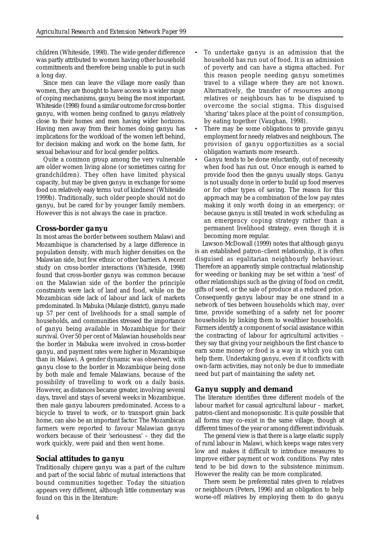children (Whiteside, 1998). The wide gender difference was partly attributed to women having other household commitments and therefore being unable to put in such a long day.

Since men can leave the village more easily than women, they are thought to have access to a wider range of coping mechanisms, *ganyu* being the most important. Whiteside (1998) found a similar outcome for cross-border *ganyu,* with women being confined to *ganyu* relatively close to their homes and men having wider horizons. Having men away from their homes doing *ganyu* has implications for the workload of the women left behind, for decision making and work on the home farm, for sexual behaviour and for local gender politics.

Quite a common group among the very vulnerable are older women living alone (or sometimes caring for grandchildren). They often have limited physical capacity, but may be given *ganyu* in exchange for some food on relatively easy terms 'out of kindness' (Whiteside 1999b). Traditionally, such older people should not do *ganyu*, but be cared for by younger family members. However this is not always the case in practice.

#### **Cross-border** *ganyu*

In most areas the border between southern Malawi and Mozambique is characterised by a large difference in population density, with much higher densities on the Malawian side, but few ethnic or other barriers. A recent study on cross-border interactions (Whiteside, 1998) found that cross-border *ganyu* was common because on the Malawian side of the border the principle constraints were lack of land and food, while on the Mozambican side lack of labour and lack of markets predominated. In Mabuka (Mulanje district), *ganyu* made up 57 per cent of livelihoods for a small sample of households, and communities stressed the importance of *ganyu* being available in Mozambique for their survival. Over 50 per cent of Malawian households near the border in Mabuka were involved in cross-border *ganyu*, and payment rates were higher in Mozambique than in Malawi. A gender dynamic was observed, with *ganyu* close to the border in Mozambique being done by both male and female Malawians, because of the possibility of travelling to work on a daily basis. However, as distances became greater, involving several days, travel and stays of several weeks in Mozambique, then male *ganyu* labourers predominated. Access to a bicycle to travel to work, or to transport grain back home, can also be an important factor. The Mozambican farmers were reported to favour Malawian *ganyu* workers because of their 'seriousness' – they did the work quickly, were paid and then went home.

#### **Social attitudes to** *ganyu*

Traditionally *chipere ganyu* was a part of the culture and part of the social fabric of mutual interactions that bound communities together. Today the situation appears very different, although little commentary was found on this in the literature:

- To undertake *ganyu* is an admission that the household has run out of food. It is an admission of poverty and can have a stigma attached. For this reason people needing *ganyu* sometimes travel to a village where they are not known. Alternatively, the transfer of resources among relatives or neighbours has to be disguised to overcome the social stigma. This disguised 'sharing' takes place at the point of consumption, by eating together (Vaughan, 1998).
- There may be some obligations to provide *ganyu* employment for needy relatives and neighbours. The provision of *ganyu* opportunities as a social obligation warrants more research.
- *• Ganyu* tends to be done reluctantly, out of necessity when food has run out. Once enough is earned to provide food then the *ganyu* usually stops. *Ganyu* is not usually done in order to build up food reserves or for other types of saving. The reason for this approach may be a combination of the low pay rates making it only worth doing in an emergency; or because *ganyu* is still treated in work scheduling as an emergency coping strategy rather than a permanent livelihood strategy, even though it is becoming more regular.

Lawson-McDowall (1999) notes that although *ganyu* is an established patron–client relationship, it is often disguised as egalitarian neighbourly behaviour. Therefore an apparently simple contractual relationship for weeding or banking may be set within a 'nest' of other relationships such as the giving of food on credit, gifts of seed, or the sale of produce at a reduced price. Consequently *ganyu* labour may be one strand in a network of ties between households which may, over time, provide something of a safety net for poorer households by linking them to wealthier households. Farmers identify a component of social assistance within the contracting of labour for agricultural activities – they say that giving your neighbours the first chance to earn some money or food is a way in which you can help them. Undertaking *ganyu*, even if it conflicts with own-farm activities, may not only be due to immediate need but part of maintaining the safety net.

#### *Ganyu* **supply and demand**

The literature identifies three different models of the labour market for casual agricultural labour – market, patron-client and monopsonistic. It is quite possible that all forms may co-exist in the same village, though at different times of the year or among different individuals.

The general view is that there is a large elastic supply of rural labour in Malawi, which keeps wage rates very low and makes it difficult to introduce measures to improve either payment or work conditions. Pay rates tend to be bid down to the subsistence minimum. However the reality can be more complicated.

There seem be preferential rates given to relatives or neighbours (Peters, 1996) and an obligation to help worse-off relatives by employing them to do *ganyu*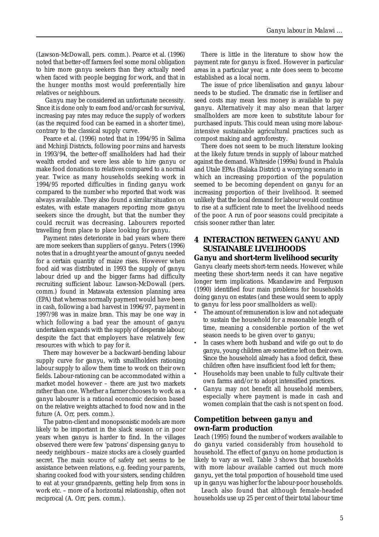(Lawson-McDowall, pers. comm.). Pearce et al. (1996) noted that better-off farmers feel some moral obligation to hire more *ganyu* seekers than they actually need when faced with people begging for work, and that in the hunger months most would preferentially hire relatives or neighbours.

*Ganyu* may be considered an unfortunate necessity. Since it is done only to earn food and/or cash for survival, increasing pay rates may reduce the supply of workers (as the required food can be earned in a shorter time), contrary to the classical supply curve.

Pearce et al. (1996) noted that in 1994/95 in Salima and Mchinji Districts, following poor rains and harvests in 1993/94, the better-off smallholders had had their wealth eroded and were less able to hire *ganyu* or make food donations to relatives compared to a normal year. Twice as many households seeking work in 1994/95 reported difficulties in finding *ganyu* work compared to the number who reported that work was always available. They also found a similar situation on estates, with estate managers reporting more *ganyu* seekers since the drought, but that the number they could recruit was decreasing. Labourers reported travelling from place to place looking for *ganyu*.

Payment rates deteriorate in bad years where there are more seekers than suppliers of *ganyu*. Peters (1996) notes that in a drought year the amount of *ganyu* needed for a certain quantity of maize rises. However when food aid was distributed in 1993 the supply of *ganyu* labour dried up and the bigger farms had difficulty recruiting sufficient labour. Lawson-McDowall (pers. comm.) found in Matawata extension planning area (EPA) that whereas normally payment would have been in cash, following a bad harvest in 1996/97, payment in 1997/98 was in maize bran. This may be one way in which following a bad year the amount of *ganyu* undertaken expands with the supply of desperate labour, despite the fact that employers have relatively few resources with which to pay for it.

There may however be a backward-bending labour supply curve for *ganyu,* with smallholders rationing labour supply to allow them time to work on their own fields. Labour-rationing can be accommodated within a market model however – there are just two markets rather than one. Whether a farmer chooses to work as a *ganyu* labourer is a rational economic decision based on the relative weights attached to food now and in the future (A. Orr, pers. comm.).

The patron-client and monopsonistic models are more likely to be important in the slack season or in poor years when *ganyu* is harder to find. In the villages observed there were few 'patrons' dispensing *ganyu* to needy neighbours – maize stocks are a closely guarded secret. The main source of safety net seems to be assistance between relations, e.g. feeding your parents, sharing cooked food with your sisters, sending children to eat at your grandparents, getting help from sons in work etc. – more of a horizontal relationship, often not reciprocal (A. Orr, pers. comm.).

There is little in the literature to show how the payment rate for *ganyu* is fixed. However in particular areas in a particular year, a rate does seem to become established as a local norm.

The issue of price liberalisation and *ganyu* labour needs to be studied. The dramatic rise in fertiliser and seed costs may mean less money is available to pay *ganyu*. Alternatively it may also mean that larger smallholders are more keen to substitute labour for purchased inputs. This could mean using more labourintensive sustainable agricultural practices such as compost making and agroforestry.

There does not seem to be much literature looking at the likely future trends in supply of labour matched against the demand. Whiteside (1999a) found in Phalula and Utale EPAs (Balaka District) a worrying scenario in which an increasing proportion of the population seemed to be becoming dependent on *ganyu* for an increasing proportion of their livelihood. It seemed unlikely that the local demand for labour would continue to rise at a sufficient rate to meet the livelihood needs of the poor. A run of poor seasons could precipitate a crisis sooner rather than later.

## **4 INTERACTION BETWEEN** *GANYU* **AND SUSTAINABLE LIVELIHOODS**

#### *Ganyu* **and short-term livelihood security**

*Ganyu* clearly meets short-term needs. However, while meeting these short-term needs it can have negative longer term implications. Mkandawire and Ferguson (1990) identified four main problems for households doing *ganyu* on estates (and these would seem to apply to *ganyu* for less poor smallholders as well):

- The amount of remuneration is low and not adequate to sustain the household for a reasonable length of time, meaning a considerable portion of the wet season needs to be given over to *ganyu*;
- In cases where both husband and wife go out to do *ganyu*, young children are sometime left on their own. Since the household already has a food deficit, these children often have insufficient food left for them;
- Households may been unable to fully cultivate their own farms and/or to adopt intensified practices.
- *• Ganyu* may not benefit all household members, especially where payment is made in cash and women complain that the cash is not spent on food.

#### **Competition between** *ganyu* **and own-farm production**

Leach (1995) found the number of workers available to do *ganyu* varied considerably from household to household. The effect of *ganyu* on home production is likely to vary as well. Table 3 shows that households with more labour available carried out much more *ganyu*, yet the total proportion of household time used up in *ganyu* was higher for the labour-poor households.

Leach also found that although female-headed households use up 25 per cent of their total labour time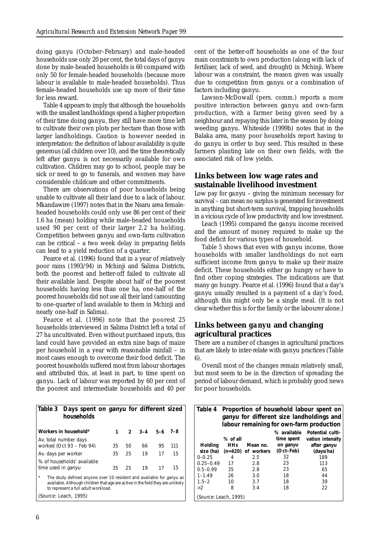doing *ganyu* (October–February) and male-headed households use only 20 per cent, the total days of *ganyu* done by male-headed households is 60 compared with only 50 for female-headed households (because more labour is available to male-headed households). Thus female-headed households use up more of their time for less reward.

Table 4 appears to imply that although the households with the smallest landholdings spend a higher proportion of their time doing *ganyu*, they still have more time left to cultivate their own plots per hectare than those with larger landholdings. Caution is however needed in interpretation: the definition of labour availability is quite generous (all children over 10), and the time theoretically left after *ganyu* is not necessarily available for own cultivation. Children may go to school, people may be sick or need to go to funerals, and women may have considerable childcare and other commitments.

There are observations of poor households being unable to cultivate all their land due to a lack of labour. Mkandawire (1997) notes that in the Nsaru area femaleheaded households could only use 86 per cent of their 1.6 ha (mean) holding while male-headed households used 90 per cent of their larger 2.2 ha holding. Competition between *ganyu* and own-farm cultivation can be critical – a two week delay in preparing fields can lead to a yield reduction of a quarter.

Pearce et al. (1996) found that in a year of relatively poor rains (1993/94) in Mchinji and Salima Districts, both the poorest and better-off failed to cultivate all their available land. Despite about half of the poorest households having less than one ha, one-half of the poorest households did not use all their land (amounting to one-quarter of land available to them in Mchinji and nearly one-half in Salima).

Pearce et al. (1996) note that the poorest 25 households interviewed in Salima District left a total of 27 ha uncultivated. Even without purchased inputs, this land could have provided an extra nine bags of maize per household in a year with reasonable rainfall – in most cases enough to overcome their food deficit. The poorest households suffered most from labour shortages and attributed this, at least in part, to time spent on *ganyu*. Lack of labour was reported by 60 per cent of the poorest and intermediate households and 40 per

| Table 3 Days spent on ganyu for different sized<br>households                                                                                                                                             |    |    |                 |    |     |
|-----------------------------------------------------------------------------------------------------------------------------------------------------------------------------------------------------------|----|----|-----------------|----|-----|
| Workers in household*                                                                                                                                                                                     |    |    | $2$ 3-4 5-6 7-8 |    |     |
| Av. total number days<br>worked (Oct 93 - Feb 94)                                                                                                                                                         | 35 | 50 | 66              | 95 | 111 |
| Av. days per worker                                                                                                                                                                                       | 35 | 25 | 19              | 17 | 15  |
| % of households' available<br>time used in <i>ganyu</i>                                                                                                                                                   | 35 | 25 | 19              | 17 | 15  |
| $\star$<br>The study defined anyone over 10 resident and available for ganyu as<br>available. Although children that age are active in the field they are unlikely<br>to represent a full adult workload. |    |    |                 |    |     |

(Source: Leach, 1995)

cent of the better-off households as one of the four main constraints to own production (along with lack of fertiliser, lack of seed, and drought) in Mchinji. Where labour was a constraint, the reason given was usually due to competition from *ganyu* or a combination of factors including *ganyu*.

Lawson-McDowall (pers. comm.) reports a more positive interaction between *ganyu* and own-farm production, with a farmer being given seed by a neighbour and repaying this later in the season by doing weeding *ganyu*. Whiteside (1999b) notes that in the Balaka area, many poor households report having to do *ganyu* in order to buy seed. This resulted in these farmers planting late on their own fields, with the associated risk of low yields.

#### **Links between low wage rates and sustainable livelihood investment**

Low pay for *ganyu* – giving the minimum necessary for survival – can mean no surplus is generated for investment in anything but short-term survival, trapping households in a vicious cycle of low productivity and low investment.

Leach (1995) compared the *ganyu* income received and the amount of money required to make up the food deficit for various types of household.

Table 5 shows that even with *ganyu* income, those households with smaller landholdings do not earn sufficient income from *ganyu* to make up their maize deficit. These households either go hungry or have to find other coping strategies. The indications are that many go hungry. Pearce et al. (1996) found that a day's *ganyu* usually resulted in a payment of a day's food, although this might only be a single meal. (It is not clear whether this is for the family or the labourer alone.)

#### **Links between** *ganyu* **and changing agricultural practices**

There are a number of changes in agricultural practices that are likely to inter-relate with *ganyu* practices (Table 6).

Overall most of the changes remain relatively small, but most seem to be in the direction of spreading the period of labour demand, which is probably good news for poor households.

| Table 4               | Proportion of household labour spent on<br>ganyu for different size landholdings and |                      |             |                                          |
|-----------------------|--------------------------------------------------------------------------------------|----------------------|-------------|------------------------------------------|
|                       |                                                                                      |                      |             |                                          |
|                       |                                                                                      |                      |             | labour remaining for own-farm production |
|                       |                                                                                      |                      | % available | Potential culti-                         |
|                       | % of all                                                                             |                      | time spent  | vation intensity                         |
| Holding               | <b>HHs</b>                                                                           | Mean no.             | on ganyu    | after ganyu                              |
| size (ha)             |                                                                                      | $(n=420)$ of workers | (Oct–Feb)   | (days/ha)                                |
| $0 - 0.25$            | 4                                                                                    | 2.5                  | 32          | 189                                      |
| $0.25 - 0.49$         | 17                                                                                   | 2.8                  | 23          | 113                                      |
| $0.5 - 0.99$          | 35                                                                                   | 2.8                  | 23          | 65                                       |
| $1 - 1.49$            | 26                                                                                   | 3.0                  | 18          | 44                                       |
| $1.5 - 2$             | 10                                                                                   | 3.7                  | 18          | 39                                       |
| >2                    | 8                                                                                    | 3.4                  | 18          | 22                                       |
| (Source: Leach, 1995) |                                                                                      |                      |             |                                          |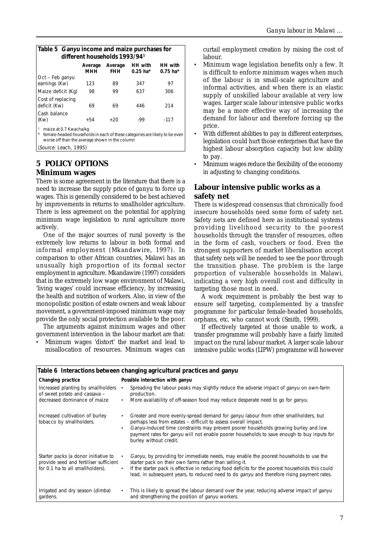| Table 5 Ganyu income and maize purchases for<br>different households 1993/94 <sup>1</sup>                                                              |                |                       |                       |                              |
|--------------------------------------------------------------------------------------------------------------------------------------------------------|----------------|-----------------------|-----------------------|------------------------------|
|                                                                                                                                                        | Average<br>мнн | Average<br><b>FHH</b> | HH with<br>$0.25$ ha* | <b>HH</b> with<br>$0.75$ ha* |
| Oct - Feb ganyu<br>earnings (Kw)                                                                                                                       | 123            | 89                    | 347                   | 97                           |
| Maize deficit (Kg)                                                                                                                                     | 98             | 99                    | 637                   | 306                          |
| Cost of replacing<br>deficit (Kw)                                                                                                                      | 69             | 69                    | 446                   | 214                          |
| Cash balance<br>(Kw)                                                                                                                                   | $+54$          | $+20$                 | -99                   | $-117$                       |
| maize at 0.7 Kwacha/kg<br>female-headed households in each of these categories are likely to be even<br>worse off than the average shown in the column |                |                       |                       |                              |
| (Source: Leach, 1995)                                                                                                                                  |                |                       |                       |                              |

## **5 POLICY OPTIONS Minimum wages**

There is some agreement in the literature that there is a need to increase the supply price of *ganyu* to force up wages. This is generally considered to be best achieved by improvements in returns to smallholder agriculture. There is less agreement on the potential for applying minimum wage legislation to rural agriculture more actively.

One of the major sources of rural poverty is the extremely low returns to labour in both formal and informal employment (Mkandawire, 1997). In comparison to other African countries, Malawi has an unusually high proportion of its formal sector employment in agriculture. Mkandawire (1997) considers that in the extremely low wage environment of Malawi, 'living wages' could increase efficiency, by increasing the health and nutrition of workers. Also, in view of the monopolistic position of estate owners and weak labour movement, a government-imposed minimum wage may provide the only social protection available to the poor.

The arguments against minimum wages and other government intervention in the labour market are that:

• Minimum wages 'distort' the market and lead to misallocation of resources. Minimum wages can curtail employment creation by raising the cost of labour.

- Minimum wage legislation benefits only a few. It is difficult to enforce minimum wages when much of the labour is in small-scale agriculture and informal activities, and when there is an elastic supply of unskilled labour available at very low wages. Larger scale labour intensive public works may be a more effective way of increasing the demand for labour and therefore forcing up the price.
- With different abilities to pay in different enterprises, legislation could hurt those enterprises that have the highest labour absorption capacity but low ability to pay.
- Minimum wages reduce the flexibility of the economy in adjusting to changing conditions.

### **Labour intensive public works as a safety net**

There is widespread consensus that chronically food insecure households need some form of safety net. Safety nets are defined here as institutional systems providing livelihood security to the poorest households through the transfer of resources, often in the form of cash, vouchers or food. Even the strongest supporters of market liberalisation accept that safety nets will be needed to see the poor through the transition phase. The problem is the large proportion of vulnerable households in Malawi, indicating a very high overall cost and difficulty in targeting those most in need.

A work requirement is probably the best way to ensure self targeting, complemented by a transfer programme for particular female-headed households, orphans, etc. who cannot work (Smith, 1999).

If effectively targeted at those unable to work, a transfer programme will probably have a fairly limited impact on the rural labour market. A larger scale labour intensive public works (LIPW) programme will however

| Table 6 Interactions between changing agricultural practices and ganyu         |                                                                                                                                                                                                                    |  |  |  |
|--------------------------------------------------------------------------------|--------------------------------------------------------------------------------------------------------------------------------------------------------------------------------------------------------------------|--|--|--|
| Changing practice                                                              | Possible interaction with ganyu                                                                                                                                                                                    |  |  |  |
| Increased planting by smallholders<br>of sweet potato and cassava -            | Spreading the labour peaks may slightly reduce the adverse impact of <i>ganyu</i> on own-farm<br>production.                                                                                                       |  |  |  |
| decreased dominance of maize                                                   | More availability of off-season food may reduce desperate need to go for <i>ganyu</i> .<br>$\bullet$                                                                                                               |  |  |  |
| Increased cultivation of burley<br>tobacco by smallholders.                    | Greater and more evenly-spread demand for ganyu labour from other smallholders, but<br>perhaps less from estates - difficult to assess overall impact.                                                             |  |  |  |
|                                                                                | Ganyu-induced time constraints may prevent poorer households growing burley and low<br>payment rates for ganyu will not enable poorer households to save enough to buy inputs for<br>burley without credit.        |  |  |  |
| Starter packs (a donor initiative to<br>provide seed and fertiliser sufficient | <i>Ganyu</i> , by providing for immediate needs, may enable the poorest households to use the<br>starter pack on their own farms rather than selling it.                                                           |  |  |  |
| for 0.1 ha to all smallholders).                                               | If the starter pack is effective in reducing food deficits for the poorest households this could<br>$\bullet$<br>lead, in subsequent years, to reduced need to do <i>ganyu</i> and therefore rising payment rates. |  |  |  |
| Irrigated and dry season (dimba)<br>gardens.                                   | This is likely to spread the labour demand over the year, reducing adverse impact of ganyu<br>$\bullet$<br>and strengthening the position of ganyu workers.                                                        |  |  |  |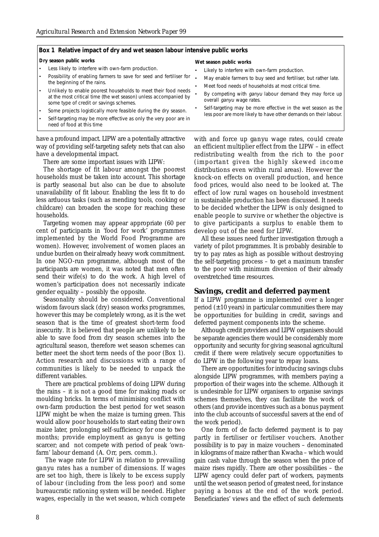#### **Box 1 Relative impact of dry and wet season labour intensive public works**

#### **Dry season public works**

- Less likely to interfere with own-farm production.
- Possibility of enabling farmers to save for seed and fertiliser for the beginning of the rains.
- Unlikely to enable poorest households to meet their food needs at the most critical time (the wet season) unless accompanied by some type of credit or savings schemes.
- Some projects logistically more feasible during the dry season.
- Self-targeting may be more effective as only the very poor are in need of food at this time

have a profound impact. LIPW are a potentially attractive way of providing self-targeting safety nets that can also have a developmental impact.

There are some important issues with LIPW:

The shortage of fit labour amongst the poorest households must be taken into account. This shortage is partly seasonal but also can be due to absolute unavailability of fit labour. Enabling the less fit to do less arduous tasks (such as mending tools, cooking or childcare) can broaden the scope for reaching these households.

Targeting women may appear appropriate (60 per cent of participants in 'food for work' programmes implemented by the World Food Programme are women). However, involvement of women places an undue burden on their already heavy work commitment. In one NGO-run programme, although most of the participants are women, it was noted that men often send their wife(s) to do the work. A high level of women's participation does not necessarily indicate gender equality – possibly the opposite.

Seasonality should be considered. Conventional wisdom favours slack (dry) season works programmes, however this may be completely wrong, as it is the wet season that is the time of greatest short-term food insecurity. It is believed that people are unlikely to be able to save food from dry season schemes into the agricultural season, therefore wet season schemes can better meet the short term needs of the poor (Box 1). Action research and discussions with a range of communities is likely to be needed to unpack the different variables.

There are practical problems of doing LIPW during the rains – it is not a good time for making roads or moulding bricks. In terms of minimising conflict with own-farm production the best period for wet season LIPW might be when the maize is turning green. This would allow poor households to start eating their own maize later, prolonging self-sufficiency for one to two months; provide employment as *ganyu* is getting scarcer; and not compete with period of peak 'ownfarm' labour demand (A. Orr, pers. comm.).

The wage rate for LIPW in relation to prevailing *ganyu* rates has a number of dimensions. If wages are set too high, there is likely to be excess supply of labour (including from the less poor) and some bureaucratic rationing system will be needed. Higher wages, especially in the wet season, which compete

#### **Wet season public works**

- Likely to interfere with own-farm production.
- May enable farmers to buy seed and fertiliser, but rather late.
- Meet food needs of households at most critical time.
- By competing with *ganyu* labour demand they may force up overall ganyu wage rates.
- Self-targeting may be more effective in the wet season as the less poor are more likely to have other demands on their labour.

with and force up *ganyu* wage rates, could create an efficient multiplier effect from the LIPW – in effect redistributing wealth from the rich to the poor (important given the highly skewed income distributions even within rural areas). However the knock-on effects on overall production, and hence food prices, would also need to be looked at. The effect of low rural wages on household investment in sustainable production has been discussed. It needs to be decided whether the LIPW is only designed to enable people to survive or whether the objective is to give participants a surplus to enable them to develop out of the need for LIPW.

All these issues need further investigation through a variety of pilot programmes. It is probably desirable to try to pay rates as high as possible without destroying the self-targeting process – to get a maximum transfer to the poor with minimum diversion of their already overstretched time resources.

#### **Savings, credit and deferred payment**

If a LIPW programme is implemented over a longer period  $(\pm 10 \text{ years})$  in particular communities there may be opportunities for building in credit, savings and deferred payment components into the scheme.

Although credit providers and LIPW organisers should be separate agencies there would be considerably more opportunity and security for giving seasonal agricultural credit if there were relatively secure opportunities to do LIPW in the following year to repay loans.

There are opportunities for introducing savings clubs alongside LIPW programmes, with members paying a proportion of their wages into the scheme. Although it is undesirable for LIPW organisers to organise savings schemes themselves, they can facilitate the work of others (and provide incentives such as a bonus payment into the club accounts of successful savers at the end of the work period).

One form of *de facto* deferred payment is to pay partly in fertiliser or fertiliser vouchers. Another possibility is to pay in maize vouchers – denominated in kilograms of maize rather than Kwacha – which would gain cash value through the season when the price of maize rises rapidly. There are other possibilities – the LIPW agency could defer part of workers, payments until the wet season period of greatest need, for instance paying a bonus at the end of the work period. Beneficiaries' views and the effect of such deferments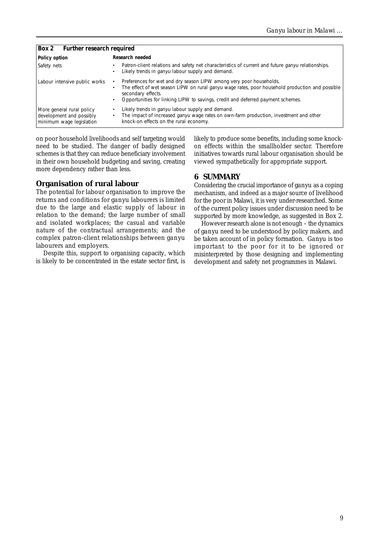| Box 2 Further research required                                                   |                                                                                                                                                                                                                                                                                 |  |  |  |
|-----------------------------------------------------------------------------------|---------------------------------------------------------------------------------------------------------------------------------------------------------------------------------------------------------------------------------------------------------------------------------|--|--|--|
| Policy option                                                                     | Research needed                                                                                                                                                                                                                                                                 |  |  |  |
| Safety nets                                                                       | Patron-client relations and safety net characteristics of current and future ganyu relationships.<br>Likely trends in <i>ganyu</i> labour supply and demand.                                                                                                                    |  |  |  |
| Labour intensive public works                                                     | Preferences for wet and dry season LIPW among very poor households.<br>The effect of wet season LIPW on rural ganyu wage rates, poor household production and possible<br>secondary effects.<br>Opportunities for linking LIPW to savings, credit and deferred payment schemes. |  |  |  |
| More general rural policy<br>development and possibly<br>minimum wage legislation | Likely trends in <i>ganyu</i> labour supply and demand.<br>The impact of increased <i>ganyu</i> wage rates on own-farm production, investment and other<br>knock-on effects on the rural economy.                                                                               |  |  |  |

on poor household livelihoods and self targeting would need to be studied. The danger of badly designed schemes is that they can reduce beneficiary involvement in their own household budgeting and saving, creating more dependency rather than less.

#### **Organisation of rural labour**

The potential for labour organisation to improve the returns and conditions for *ganyu* labourers is limited due to the large and elastic supply of labour in relation to the demand; the large number of small and isolated workplaces; the casual and variable nature of the contractual arrangements; and the complex patron-client relationships between *ganyu* labourers and employers.

Despite this, support to organising capacity, which is likely to be concentrated in the estate sector first, is likely to produce some benefits, including some knockon effects within the smallholder sector. Therefore initiatives towards rural labour organisation should be viewed sympathetically for appropriate support.

#### **6 SUMMARY**

Considering the crucial importance of *ganyu* as a coping mechanism, and indeed as a major source of livelihood for the poor in Malawi, it is very under-researched. Some of the current policy issues under discussion need to be supported by more knowledge, as suggested in Box 2.

However research alone is not enough – the dynamics of *ganyu* need to be understood by policy makers, and be taken account of in policy formation. *Ganyu* is too important to the poor for it to be ignored or misinterpreted by those designing and implementing development and safety net programmes in Malawi.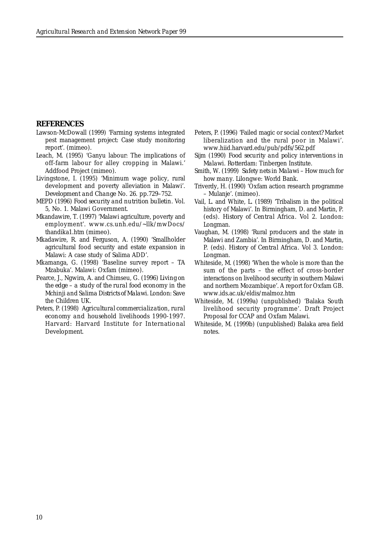#### **REFERENCES**

- Lawson-McDowall (1999) 'Farming systems integrated pest management project: Case study monitoring report'. (mimeo).
- Leach, M. (1995) 'Ganyu labour: The implications of off-farm labour for alley cropping in Malawi.' Addfood Project (mimeo).
- Livingstone, I. (1995) 'Minimum wage policy, rural development and poverty alleviation in Malawi'. *Development and Change* No. 26. pp.729–752.
- MEPD (1996) *Food security and nutrition bulletin.* Vol. 5, No. 1. Malawi Government.
- Mkandawire, T. (1997) 'Malawi agriculture, poverty and employment'. www.cs.unh.edu/~llk/mwDocs/ thandika1.htm (mimeo).
- Mkadawire, R. and Ferguson, A. (1990) 'Smallholder agricultural food security and estate expansion in Malawi: A case study of Salima ADD'.
- Mkamanga, G. (1998) 'Baseline survey report TA Mzabuka'. Malawi: Oxfam (mimeo).
- Pearce, J., Ngwira, A. and Chimseu, G. (1996) *Living on the edge – a study of the rural food economy in the Mchinji and Salima Districts of Malawi*. London: Save the Children UK.
- Peters, P. (1998) *Agricultural commercialization, rural economy and household livelihoods 1990-1997*. Harvard: Harvard Institute for International Development.
- Peters, P. (1996) 'Failed magic or social context? Market liberalization and the rural poor in Malawi'. www.hiid.harvard.edu/pub/pdfs/562.pdf
- Sijm (1990) *Food security and policy interventions in Malawi*. Rotterdam: Tinbergen Institute.
- Smith, W. (1999) *Safety nets in Malawi How much for how many*. Lilongwe: World Bank.
- Triverdy, H. (1990) 'Oxfam action research programme – Mulanje'. (mimeo).
- Vail, L. and White, L. (1989) 'Tribalism in the political history of Malawi'. *In* Birmingham, D. and Martin, P. (eds). *History of Central Africa*. Vol 2. London: Longman.
- Vaughan, M. (1998) 'Rural producers and the state in Malawi and Zambia'. *In* Birmingham, D. and Martin, P. (eds). *History of Central Africa*. Vol 3. London: Longman.
- Whiteside, M. (1998) 'When the whole is more than the sum of the parts – the effect of cross-border interactions on livelihood security in southern Malawi and northern Mozambique'. A report for Oxfam GB. www.ids.ac.uk/eldis/malmoz.htm
- Whiteside, M. (1999a) (unpublished) 'Balaka South livelihood security programme'. Draft Project Proposal for CCAP and Oxfam Malawi.
- Whiteside, M. (1999b) (unpublished) Balaka area field notes.